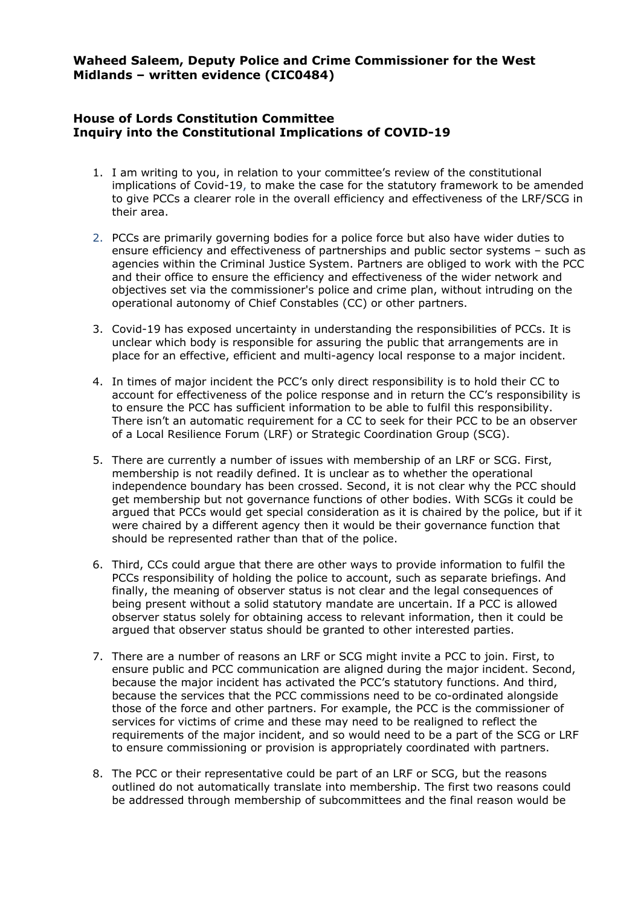**Waheed Saleem, Deputy Police and Crime Commissioner for the West Midlands – written evidence (CIC0484)**

## **House of Lords Constitution Committee Inquiry into the Constitutional Implications of COVID-19**

- 1. I am writing to you, in relation to your committee's review of the constitutional implications of Covid-19, to make the case for the statutory framework to be amended to give PCCs a clearer role in the overall efficiency and effectiveness of the LRF/SCG in their area.
- 2. PCCs are primarily governing bodies for a police force but also have wider duties to ensure efficiency and effectiveness of partnerships and public sector systems – such as agencies within the Criminal Justice System. Partners are obliged to work with the PCC and their office to ensure the efficiency and effectiveness of the wider network and objectives set via the commissioner's police and crime plan, without intruding on the operational autonomy of Chief Constables (CC) or other partners.
- 3. Covid-19 has exposed uncertainty in understanding the responsibilities of PCCs. It is unclear which body is responsible for assuring the public that arrangements are in place for an effective, efficient and multi-agency local response to a major incident.
- 4. In times of major incident the PCC's only direct responsibility is to hold their CC to account for effectiveness of the police response and in return the CC's responsibility is to ensure the PCC has sufficient information to be able to fulfil this responsibility. There isn't an automatic requirement for a CC to seek for their PCC to be an observer of a Local Resilience Forum (LRF) or Strategic Coordination Group (SCG).
- 5. There are currently a number of issues with membership of an LRF or SCG. First, membership is not readily defined. It is unclear as to whether the operational independence boundary has been crossed. Second, it is not clear why the PCC should get membership but not governance functions of other bodies. With SCGs it could be argued that PCCs would get special consideration as it is chaired by the police, but if it were chaired by a different agency then it would be their governance function that should be represented rather than that of the police.
- 6. Third, CCs could argue that there are other ways to provide information to fulfil the PCCs responsibility of holding the police to account, such as separate briefings. And finally, the meaning of observer status is not clear and the legal consequences of being present without a solid statutory mandate are uncertain. If a PCC is allowed observer status solely for obtaining access to relevant information, then it could be argued that observer status should be granted to other interested parties.
- 7. There are a number of reasons an LRF or SCG might invite a PCC to join. First, to ensure public and PCC communication are aligned during the major incident. Second, because the major incident has activated the PCC's statutory functions. And third, because the services that the PCC commissions need to be co-ordinated alongside those of the force and other partners. For example, the PCC is the commissioner of services for victims of crime and these may need to be realigned to reflect the requirements of the major incident, and so would need to be a part of the SCG or LRF to ensure commissioning or provision is appropriately coordinated with partners.
- 8. The PCC or their representative could be part of an LRF or SCG, but the reasons outlined do not automatically translate into membership. The first two reasons could be addressed through membership of subcommittees and the final reason would be